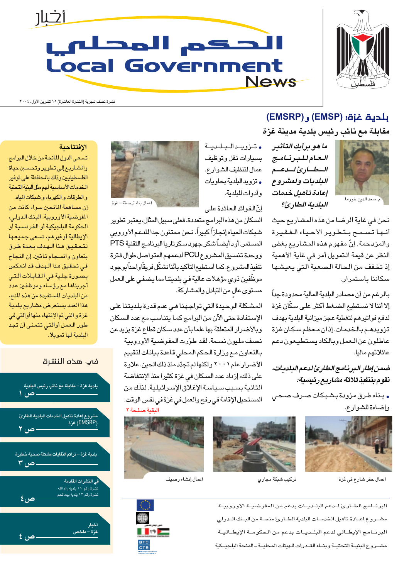

## <u>أثلار</u> الحكم المحلفي **Local Government News**

نشرة نصف شهرية (النشرة العاشرة) ١٥ تشرين الأول، ٢٠٠٤

### بلدية غزة: (EMSP) و (EMSRP) مقابلة مع نائب رئيس بلدية مدينة غزة



ما هو برأيك التأثير العام للبرنامج الطارئ للدعم البلديات ولمشروع إعادة تأهيل خدمات البلدية الطارئ؟

نحن في غاية الرضا من هذه المشاريع حيث أنها تسمح بتطوير الأحياء الفقيرة والمزدحمة. إنّ مفهوم هذه المشاريع بغض النظر عن قيمة التمويل أمر في غاية الأهمية إذ تخفف من الحالة الصعبة التي يعيشها سكاننا باستمرار.

بالرغم من أن مصادر البلدية المالية محدودة جداً إلا أننا لا نستطيع الضغط أكثر على سكّان غزة لدفع فواتيرهم لتغطية عجز ميزانية البلدية بهدف تزويدهم بالخدمات. إذان معظم سكان غزة عاطلون عن العمل وبالكاد يستطيعون دعم عائلاتهم ماليا.

ضمن إطار البرنامج الطارئ لدعم البلديات، نقوم بتنفيذ ثلاثة مشاريع رئيسية:

<mark>.</mark> بـنـاء طـرق مـزودة بـشـبـكات صــرف صـحـ*ي* وإضاءة للشوارع.



أعمال حفر شارع فى غزة



تركيب شبكة مجاري



البرنـامج الطـارئ لـدعم البلـديـات بدعم من المفوضيـة الأوروبيـة مشــروع اعــادة تأهيل الخدمــات البلدية الطــارئ منحــة من البــنك الــدولي البرنــامج الإيطــالي لدعم البلــديــات بدعم من الحكومــة الإيطــاليــة مشـروع البنيــة التحتيــة وبنــاء القــدرات للهيئات المحليــة ــ المنحة البلجيـكية



إنّ الفوائد العائدة على

• تىزويىدالىبلىيىة

بسيارات نقل وتوظيف

عمال لتنظيف الشوارع.

• تزويد البلدية بحاويات

وأدوات للبلدية.

السكان من هذه البرامج متعددة. فعلى سبيل المثال، يعتبر تطوير شبكات المياه إنجازاً كبيراً. نحن ممتنون جدا للدعم الأوروبي المستمر. أود أيضــاً شكر جهود سكرتاريا البرنامـج التقنية PTS ووحدة تنسيق المشروع PCU لدعمهم المتواصل طوال فترة تنفيذالمشروع. كما أستطيع التأكيد بأنّنا نشكّل فريقاً واحداً بوجود موظَّفين ذوي مؤهلات عالية في بلديتنا مما يضفي على العمل مستوى عالٍ من التبادل والمشاركة.

المشكلة الوحيدة التي تواجهنا هي عدم قدرة بلديتنا على الإستفادة حتى الآن من البرامج كما يتناسب مع عدد السكان وبالأضرار المتعلقة بها علما بأن عدد سكان قطاع غزة يزيد عن نصف مليون نسمة. لقد طوّرت المفوضية الأوروبية بالتعاون مع وزارة الحكم المحلي قاعدة بيانات لتقييم الأضرار عام ٢٠٠١ ولكنهالم تجدّد منذ ذلك الحين. علاوة على ذلك، إزداد عدد السكان في غزة كثيرا منذ الإنتفاضة الثانية بسبب سياسة الإغلاق الإسرائيلية. لذلك من المستحيل الإقامة في رفح والعمل في غزة في نفس الوقت. البقية صفحة ٢

# S **THE**

#### الافتتاحية

تسعى الدول المانحة من خلال البرامج والمشاريع إلى تطوير وتحسين حياة الفلسطينيين وذلك بالمحافظة على توفير الخدمات الأساسية لهم مثل البنية التحتية والطرقات والكهرباء وشبكات المياه. إن مساهمة المانحين سواء كانت من المفوضية الأوروبية، البنك الدولى، الحكومة البلجيكية أو الفرنسية أو الإيطالية أوغيرهم، تسعى جميعها لتحقيق هذا الهدف بعدة طرق بتعاون وانسجام تامّين. إن النجاح في تحقيق هذا الهدف قد انعكس بصورة جلية في المقابلات التي أجريناها مع رؤساء وموظفين عدد من البلديات المستفيدة من هذه المنح، هذا العدد يستعرض مشاريع بلدية غزة والتي تم الإنتهاء منها أوالتي في طور العمل أوالتي تتمنى أن تجد البلدية لها تمويلا.

#### فب هذه النشرة

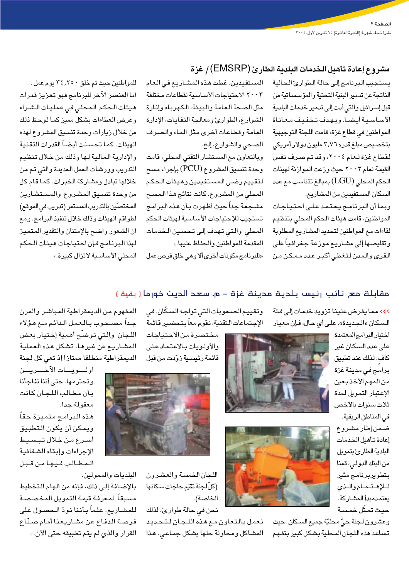#### مشروع إعادة تأهيل الخدمات البلدية الطارئ (EMSRP) / غزة

يستجيب البرنامج إلى حالة الطوارئ الحالية الناتجة عن تدمير البنية التحتية والمؤسساتية من قبل إسرائيل والتي أدت إلى تدمير خدمات البلدية الأساسية أيضا. وبهدف تخفيف معاناة المواطنين في قطاع غزة، قامت اللجنة التوجيهية بتخصیص مبلغ قدره ۳٫۷٦ ملیون دولار أمریکی لقطاع غزة لعام ٢٠٠٤، وقد تم صرف نفس القيمة لعام ٢٠٠٣ حيث وزعت الموازنة لهيئات الحكم المحلي (LGU) بمبالغ تتناسب مع عدد السكان المستفيدين من المشاريع.

وبما أن البرنامج يعتمد على احتياجات المواطنين، قامت هيئات الحكم المحلي بتنظيم لقاءات مع المواطنين لتحديد المشاريع المطلوبة وتقليصـها إلى مشـاريـع مـوزعـة جـغـرافـيـاً علـى القرى والمدن لتغطى أكبر عدد ممكن من

المستفيدين. غطت هذه المشاريع في العام ٢٠٠٣ الاحتياجات الأساسية لقطاعات مختلفة مثل الصحة العامة والبيئة، الكهرباء وإنارة الشوارع، الطوارئ ومعالجة النفايات، الإدارة العامة وقطاعات أخرى مثل الماء والصرف الصحي والشوارع، إلخ.

وبالتعاون مع المستشار التقني المحلي، قامت وحدة تنسيق المشروع (PCU) بإجراء مسح لتقييم رضى المستفيدين وهيئات الحكم المحلي من المشروع. كانت نتائج هذا المسح مشجعة جداً حيث أظهرت بأن هذه البرامج تستجيب للإحتياجات الأساسية لهيئات الحكم المحلى والتى تهدف إلى تحسين الخدمات المقدمة للمواطنين والحفاظ عليها.»

«للبرنامج مكونات أخرى ألا وهي خلق فرص عمل

للمواطنين حيث تم خلق ٣٤,٢٥٠ يوم عمل. أما العنصر الآخر للبرنامج فهو تعزيز قدرات هيئات الحكم المحلي في عمليات الشراء وعرض العطاءات بشكل مميز كما لوحظ ذلك من خلال زيارات وحدة تنسيق المشروع لهذه الهيئات. كما تحسنت أيضاً القدرات التقنية والإدارية المالية لها وذلك من خلال تنظيم التدريب وورشات العمل العديدة والتى تم من خلالها تبادل ومشاركة الخبرات. كما قام كل من وحدة تنسيق المشروع والمستشارين المختصِّين بالتدريب المستمر (تدريب في الموقع) لطواقم الهيئات وذلك خلال تنفيذ البرامج. ومع أن الشعور واضح بالإمتنان والتقدير المتميز لهذا البرنامج فإن احتياجات هيئات الحكم المحلى الأساسية لاتزال كبيرة.»

#### مقابلة مع نائب رئيس بلدية مدينة غزة – م. سعد الدين خورما (بقية)

>>> مما يفرض علينا تزويد خدمات إلى فئة السكان «الجديدة». على أي حال، فإن معيار

> اختيار البرامج المعتمدة على عدد السكان غير كاف. لذلك عند تطبيق برامج في مدينة غزة من المهم الأخذ بعين الإعتبار التمويل لمدة ثلاث سنوات بالأخص في المناطق الريفية. ضمن إطار مشروع إعادة تأهيل الخدمات البلدية الطارئ بتمويل من البنك الدولي، قمنا بتطويربرنامج مثير للإهتمام والذى يعتمدمبدأ المشاركة. حيث تمثّل خمسة





وعشرون لجنة حيّ محليّة جميع السكان ،حيث تساعد هذه اللجان المحلية بشكل كبير بتفهم

وتقييم الصعوبات التي تواجه السكّان. في الإجتماعات التقنية، نقوم معاً بتحضير قائمة

مختصرة من الاحتياجات والأولىوات بالاعتماد على قائمة رئيسية زوّدت من قبل



اللجان الخمسة والعشرون (كلٌ لجنة تقيّم حاجات سكانها الخاصة). نحن في حالة طوارئ، لذلك

نعمل بالتعاون مع هذه اللجان لتحديد المشاكل ومحاولة حلها بشكل جماعى. هذا

المفهوم من الديمقراطية المباشر والمرن جداً مصـحوب بـالعمل الدائم مـع هؤلاء اللجان والتى توضّح أهمية إختيار بعض المشاريع عن غيرها. تشكل هذه العملية الديمقراطية منطلقا ممتازا إذ تعى كل لجنة

أولسويسات الآخسريسن وتحترمها. حتى أننا تفاجأنا بأن مطالب اللجان كانت معقولة جدا. هذه البرامج متميزة حقاً ويمكن أن يكون التطبيق أسرع من خلال تبسيط الإجراءات وإبقاء الشفافية المطالب فيها من قبل

البلديات والممولين.

بالإضافة إلى ذلك، فإنه من الهام التخطيط مسبقاً لمعرفة قيمة التمويل المخصصة للمشاريع. علماً بأننا نودّ الحصول على فرصة الدفاع عن مشاريعنا أمام صنّاع القرار والذي لم يتم تطبيقه حتى الأن.»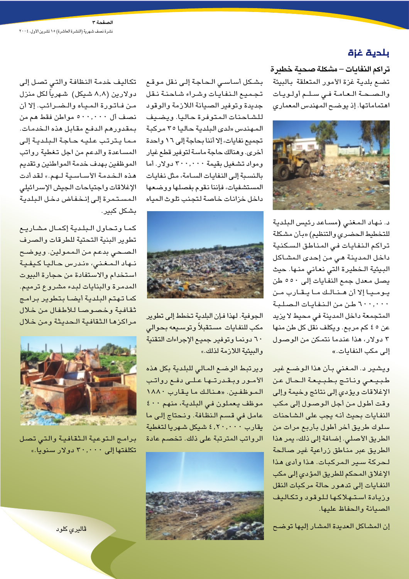#### بلدية غزة

تراكم النفايات – مشكلة صحية خطيرة تضع بلدية غزة الأمور المتعلقة بالبيئة والصحة العامة فى سلم أولويات اهتماماتها. إذ يوضح المهندس المعماري



د. نهاد المغنى (مساعد رئيس البلدية للتخطيط الحضري والتنظيم) «بأن مشكلة تراكم النفايات فى المناطق السكنية داخل المدينة هي من إحدى المشاكل البيئية الـخطيرة التي نعاني منـها. حيث يصل معدل جمع النفايات إلى ٥٥٠ طن يوميا إلا أن هنالك ما يقارب من ٦٠٠,٠٠٠ طن من النفايات الصلبة المتجمعة داخل المدينة في محيط لا يزيد عن ٥ ٤ كم مربع. ويكلف نقل كل طن منها ٣ دولار، هذا عندما نتمكن من الوصول إلى مكب النفايات.»

ويشير د. المغنى بأن هذا الوضـع غير طبيعى وناتج بطبيعة الحال عن الإغلاقات ويؤدى إلى نتائج وخيمة وإلى وقت أطول من أجل الوصول إلى مكب النفايات بحيث أنه يجب على الشاحنات سلوك طريق أخر أطول بأربع مرات من الطريق الأصلى. إضافة إلى ذلك، يمر هذا الطريق عبر مناطق زراعية غير صالحة لحركة سير المركبات. هذا وأدى هذا الإغلاق المحكم للطريق المؤدي إلى مكب النفايات إلى تدهور حالة مركبات النقل وزيادة استهلاكها للوقود وتكاليف الصيانة والحفاظ عليها.

إن المشاكل العديدة المشار إليها توضح

بشكل أساسى الحاجة إلى نقل موقع تجميع النفايات وشراء شاحنة نقل جديدة وتوفير الصيانة اللازمة والوقود للشاحنات المتوفرة حاليا. ويضيف المهندس «لدى البلدية حاليا ٢٥ مركبة تجميع نفايات، إلا أننا بحاجة إلى ١٦ واحدة أخرى. وهنالك حاجة ماسة لتوفير قطع غيار ومواد تشغيل بقيمة ٣٠٠,٠٠٠ دولار. أما بالنسبة إلى النفايات السامة، مثل نفايات المستشفيات، فإننا نقوم بفصلها ووضعها داخل خزانات خاصة لتجنب تلوث المياه



الجوفية. لهذا فإن البلدية تخطط إلى تطوير مكب للنفايات مستقبلأ وتوسيعه بحوالى ٦٠ دونما وتوفير جميع الإجراءات التقنية والبيئية اللازمة لذلك.»

ويرتبط الوضع المالى للبلدية بكل هذه الأمور وبقدرتها على دفع رواتب الموظفين. «هنالك ما يقارب ١٨٨٠ موظف يعملون في البلدية، منهم ٤٠٠ عامل فى قسم النظافة. ونحتاج إلى ما يقارب ٢٠,٠٠٠ شيكل شهريا لتغطية الرواتب المترتبة على ذلك. تخصم عادة



تكاليف خدمة النظافة والتي تصل إلى دولارين (٨٫٨ شيكل) شهرياً لكل منزل من فاتورة المياه والضرائب. إلا أن نصف أل ۰۰,۰۰۰ مواطن فقط هم من بمقدورهم الدفع مقابل هذه الخدمات. مما يترتب عليه حاجة البلدية إلى المساعدة والدعم من اجل تغطية رواتب الموظفين بهدف خدمة المواطنين وتقديم هذه الخدمة الأساسية لهم.» لقد أدت الإغلاقات واجتياحات الجيش الإسرائيلي المستمرة إلى إنخفاض دخل البلدية بشكل كبير.

كما وتحاول البلدية إكمال مشاريع تطوير البنية التحتية للطرقات والصرف الصحى بدعم من الممولين. ويوضح نـهاد الـمـغـني، «نـدرس حـاليـا كيفية استخدام والاستفادة من حجارة البيوت المدمرة والبنايات لبدء مشروع ترميم. كما تهتم البلدية أيضا بتطوير برامج ثقافية وخصوصا للأطفال من خلال مراكزها الثقافية الحديثة ومن خلال



برامج التوعية الثقافية والتى تصل تكلفتها إلى ٣٠,٠٠٠ دولار سنويا.»

<mark>ڦاليري کلود</mark>